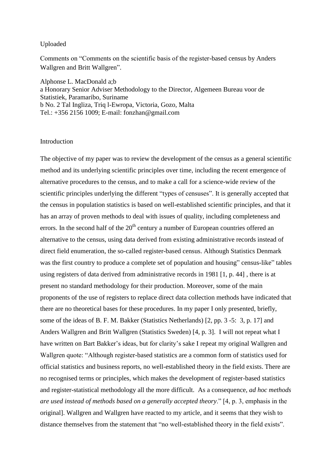## Uploaded

Comments on "Comments on the scientific basis of the register-based census by Anders Wallgren and Britt Wallgren".

Alphonse L. MacDonald a;b

a Honorary Senior Adviser Methodology to the Director, Algemeen Bureau voor de Statistiek, Paramaribo, Suriname b No. 2 Tal Ingliza, Triq l-Ewropa, Victoria, Gozo, Malta Tel.: +356 2156 1009; E-mail: fonzhan@gmail.com

## **Introduction**

The objective of my paper was to review the development of the census as a general scientific method and its underlying scientific principles over time, including the recent emergence of alternative procedures to the census, and to make a call for a science-wide review of the scientific principles underlying the different "types of censuses". It is generally accepted that the census in population statistics is based on well-established scientific principles, and that it has an array of proven methods to deal with issues of quality, including completeness and errors. In the second half of the  $20<sup>th</sup>$  century a number of European countries offered an alternative to the census, using data derived from existing administrative records instead of direct field enumeration, the so-called register-based census. Although Statistics Denmark was the first country to produce a complete set of population and housing" census-like" tables using registers of data derived from administrative records in 1981 [1, p. 44] , there is at present no standard methodology for their production. Moreover, some of the main proponents of the use of registers to replace direct data collection methods have indicated that there are no theoretical bases for these procedures. In my paper I only presented, briefly, some of the ideas of B. F. M. Bakker (Statistics Netherlands) [2, pp. 3 -5: 3, p. 17] and Anders Wallgren and Britt Wallgren (Statistics Sweden) [4, p. 3]. I will not repeat what I have written on Bart Bakker's ideas, but for clarity's sake I repeat my original Wallgren and Wallgren quote: "Although register-based statistics are a common form of statistics used for official statistics and business reports, no well-established theory in the field exists. There are no recognised terms or principles, which makes the development of register-based statistics and register-statistical methodology all the more difficult. As a consequence, *ad hoc methods are used instead of methods based on a generally accepted theory*." [4, p. 3, emphasis in the original]. Wallgren and Wallgren have reacted to my article, and it seems that they wish to distance themselves from the statement that "no well-established theory in the field exists".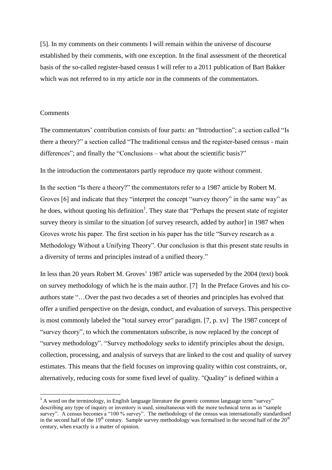[5]. In my comments on their comments I will remain within the universe of discourse established by their comments, with one exception. In the final assessment of the theoretical basis of the so-called register-based census I will refer to a 2011 publication of Bart Bakker which was not referred to in my article nor in the comments of the commentators.

## **Comments**

1

The commentators' contribution consists of four parts: an "Introduction"; a section called "Is there a theory?" a section called "The traditional census and the register-based census - main differences"; and finally the "Conclusions – what about the scientific basis?"

In the introduction the commentators partly reproduce my quote without comment.

In the section "Is there a theory?" the commentators refer to a 1987 article by Robert M. Groves [6] and indicate that they "interpret the concept "survey theory" in the same way" as he does, without quoting his definition<sup>1</sup>. They state that "Perhaps the present state of register survey theory is similar to the situation [of survey research, added by author] in 1987 when Groves wrote his paper. The first section in his paper has the title "Survey research as a Methodology Without a Unifying Theory". Our conclusion is that this present state results in a diversity of terms and principles instead of a unified theory."

In less than 20 years Robert M. Groves' 1987 article was superseded by the 2004 (text) book on survey methodology of which he is the main author. [7] In the Preface Groves and his coauthors state "…Over the past two decades a set of theories and principles has evolved that offer a unified perspective on the design, conduct, and evaluation of surveys. This perspective is most commonly labeled the "total survey error" paradigm. [7, p. xv] The 1987 concept of "survey theory", to which the commentators subscribe, is now replaced by the concept of "survey methodology". "Survey methodology seeks to identify principles about the design, collection, processing, and analysis of surveys that are linked to the cost and quality of survey estimates. This means that the field focuses on improving quality within cost constraints, or, alternatively, reducing costs for some fixed level of quality. "Quality" is defined within a

 $1$  A word on the terminology, in English language literature the generic common language term "survey" describing any type of inquiry or inventory is used, simultaneous with the more technical term as in "sample survey". A census becomes a "100 % survey". The methodology of the census was internationally standardised in the second half of the  $19<sup>th</sup>$  century. Sample survey methodology was formalised in the second half of the  $20<sup>th</sup>$ century, when exactly is a matter of opinion.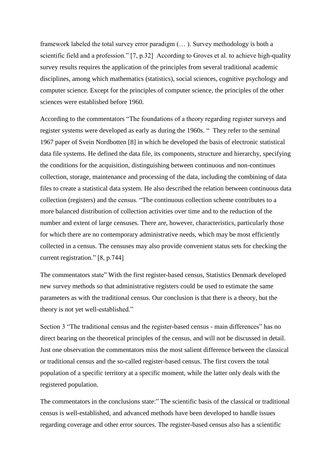framework labeled the total survey error paradigm (… ). Survey methodology is both a scientific field and a profession." [7, p.32] According to Groves et al. to achieve high-quality survey results requires the application of the principles from several traditional academic disciplines, among which mathematics (statistics), social sciences, cognitive psychology and computer science. Except for the principles of computer science, the principles of the other sciences were established before 1960.

According to the commentators "The foundations of a theory regarding register surveys and register systems were developed as early as during the 1960s. " They refer to the seminal 1967 paper of Svein Nordbotten [8] in which he developed the basis of electronic statistical data file systems. He defined the data file, its components, structure and hierarchy, specifying the conditions for the acquisition, distinguishing between continuous and non-continues collection, storage, maintenance and processing of the data, including the combining of data files to create a statistical data system. He also described the relation between continuous data collection (registers) and the census. "The continuous collection scheme contributes to a more balanced distribution of collection activities over time and to the reduction of the number and extent of large censuses. There are, however, characteristics, particularly those for which there are no contemporary administrative needs, which may be most efficiently collected in a census. The censuses may also provide convenient status sets for checking the current registration." [8, p.744]

The commentators state" With the first register-based census, Statistics Denmark developed new survey methods so that administrative registers could be used to estimate the same parameters as with the traditional census. Our conclusion is that there is a theory, but the theory is not yet well-established."

Section 3 "The traditional census and the register-based census - main differences" has no direct bearing on the theoretical principles of the census, and will not be discussed in detail. Just one observation the commentators miss the most salient difference between the classical or traditional census and the so-called register-based census. The first covers the total population of a specific territory at a specific moment, while the latter only deals with the registered population.

The commentators in the conclusions state:" The scientific basis of the classical or traditional census is well-established, and advanced methods have been developed to handle issues regarding coverage and other error sources. The register-based census also has a scientific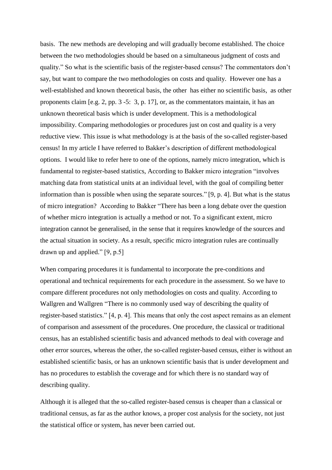basis. The new methods are developing and will gradually become established. The choice between the two methodologies should be based on a simultaneous judgment of costs and quality." So what is the scientific basis of the register-based census? The commentators don't say, but want to compare the two methodologies on costs and quality. However one has a well-established and known theoretical basis, the other has either no scientific basis, as other proponents claim [e.g. 2, pp. 3 -5: 3, p. 17], or, as the commentators maintain, it has an unknown theoretical basis which is under development. This is a methodological impossibility. Comparing methodologies or procedures just on cost and quality is a very reductive view. This issue is what methodology is at the basis of the so-called register-based census! In my article I have referred to Bakker's description of different methodological options. I would like to refer here to one of the options, namely micro integration, which is fundamental to register-based statistics, According to Bakker micro integration "involves matching data from statistical units at an individual level, with the goal of compiling better information than is possible when using the separate sources." [9, p. 4]. But what is the status of micro integration? According to Bakker "There has been a long debate over the question of whether micro integration is actually a method or not. To a significant extent, micro integration cannot be generalised, in the sense that it requires knowledge of the sources and the actual situation in society. As a result, specific micro integration rules are continually drawn up and applied." [9, p.5]

When comparing procedures it is fundamental to incorporate the pre-conditions and operational and technical requirements for each procedure in the assessment. So we have to compare different procedures not only methodologies on costs and quality. According to Wallgren and Wallgren "There is no commonly used way of describing the quality of register-based statistics." [4, p. 4]. This means that only the cost aspect remains as an element of comparison and assessment of the procedures. One procedure, the classical or traditional census, has an established scientific basis and advanced methods to deal with coverage and other error sources, whereas the other, the so-called register-based census, either is without an established scientific basis, or has an unknown scientific basis that is under development and has no procedures to establish the coverage and for which there is no standard way of describing quality.

Although it is alleged that the so-called register-based census is cheaper than a classical or traditional census, as far as the author knows, a proper cost analysis for the society, not just the statistical office or system, has never been carried out.